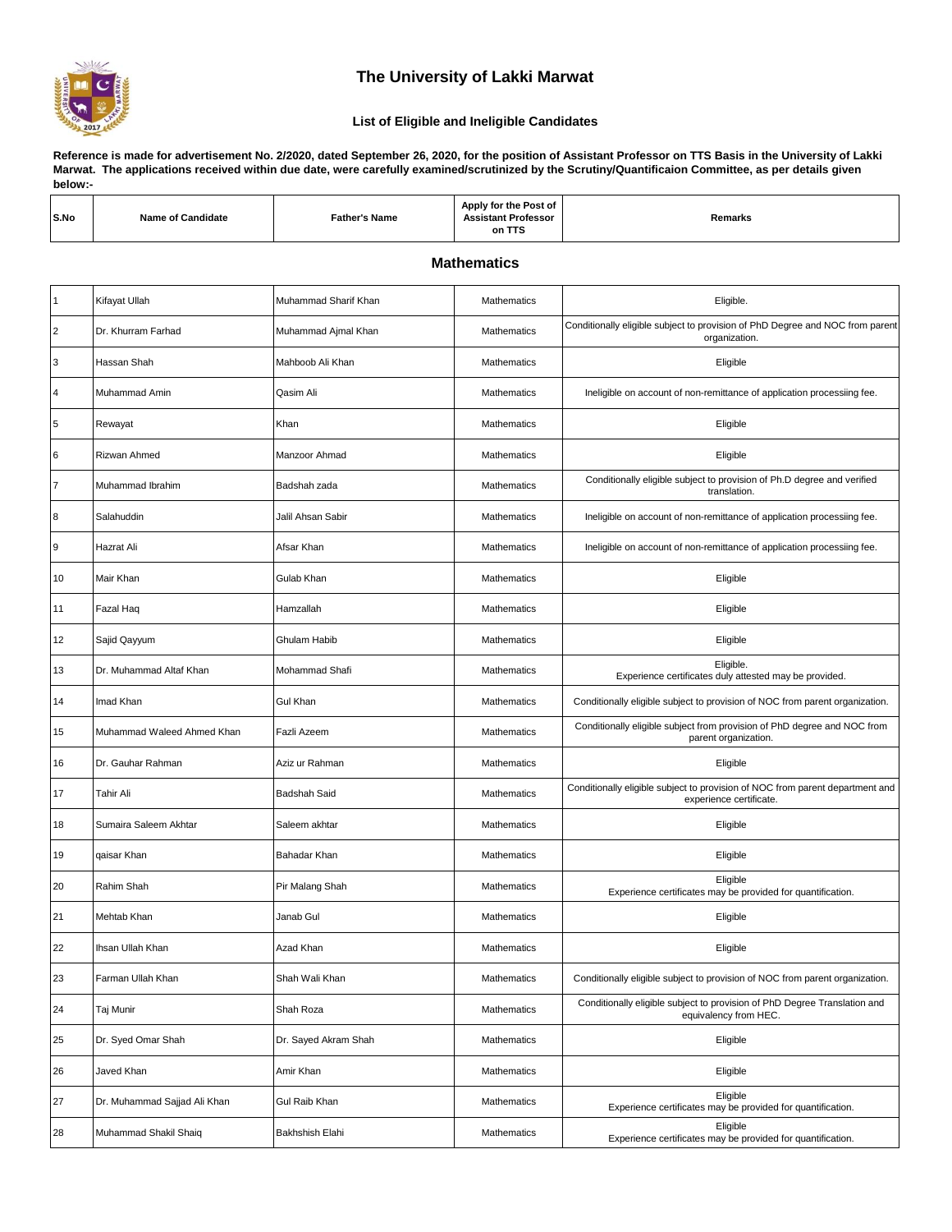

## **The University of Lakki Marwat**

## **List of Eligible and Ineligible Candidates**

**Reference is made for advertisement No. 2/2020, dated September 26, 2020, for the position of Assistant Professor on TTS Basis in the University of Lakki Marwat. The applications received within due date, were carefully examined/scrutinized by the Scrutiny/Quantificaion Committee, as per details given below:-**

| S.No | <b>Name of Candidate</b> | Father's Name | / for the Post of<br>Apply<br>.<br>Assistant Professor<br><b>ASSIS.</b><br>on TTS | Remarks |
|------|--------------------------|---------------|-----------------------------------------------------------------------------------|---------|
|      |                          |               |                                                                                   |         |

## **Mathematics**

| $\overline{1}$ | Kifayat Ullah                | Muhammad Sharif Khan | Mathematics        | Eligible.                                                                                                |
|----------------|------------------------------|----------------------|--------------------|----------------------------------------------------------------------------------------------------------|
| $\overline{2}$ | Dr. Khurram Farhad           | Muhammad Ajmal Khan  | Mathematics        | Conditionally eligible subject to provision of PhD Degree and NOC from parent<br>organization.           |
| 3              | Hassan Shah                  | Mahboob Ali Khan     | Mathematics        | Eligible                                                                                                 |
| $\overline{4}$ | Muhammad Amin                | Qasim Ali            | <b>Mathematics</b> | Ineligible on account of non-remittance of application processiing fee.                                  |
| $\sqrt{5}$     | Rewayat                      | Khan                 | Mathematics        | Eligible                                                                                                 |
| 6              | Rizwan Ahmed                 | Manzoor Ahmad        | Mathematics        | Eligible                                                                                                 |
| $\overline{7}$ | Muhammad Ibrahim             | Badshah zada         | Mathematics        | Conditionally eligible subject to provision of Ph.D degree and verified<br>translation.                  |
| 8              | Salahuddin                   | Jalil Ahsan Sabir    | Mathematics        | Ineligible on account of non-remittance of application processiing fee.                                  |
| 9              | Hazrat Ali                   | Afsar Khan           | Mathematics        | Ineligible on account of non-remittance of application processiing fee.                                  |
| 10             | Mair Khan                    | Gulab Khan           | Mathematics        | Eligible                                                                                                 |
| 11             | Fazal Haq                    | Hamzallah            | Mathematics        | Eligible                                                                                                 |
| 12             | Sajid Qayyum                 | Ghulam Habib         | Mathematics        | Eligible                                                                                                 |
| 13             | Dr. Muhammad Altaf Khan      | Mohammad Shafi       | Mathematics        | Eligible.<br>Experience certificates duly attested may be provided.                                      |
| 14             | Imad Khan                    | <b>Gul Khan</b>      | Mathematics        | Conditionally eligible subject to provision of NOC from parent organization.                             |
| 15             | Muhammad Waleed Ahmed Khan   | Fazli Azeem          | Mathematics        | Conditionally eligible subject from provision of PhD degree and NOC from<br>parent organization.         |
| 16             | Dr. Gauhar Rahman            | Aziz ur Rahman       | Mathematics        | Eligible                                                                                                 |
| 17             | Tahir Ali                    | <b>Badshah Said</b>  | Mathematics        | Conditionally eligible subject to provision of NOC from parent department and<br>experience certificate. |
| 18             | Sumaira Saleem Akhtar        | Saleem akhtar        | Mathematics        | Eligible                                                                                                 |
| 19             | qaisar Khan                  | Bahadar Khan         | Mathematics        | Eligible                                                                                                 |
| 20             | Rahim Shah                   | Pir Malang Shah      | Mathematics        | Eligible<br>Experience certificates may be provided for quantification.                                  |
| 21             | Mehtab Khan                  | Janab Gul            | Mathematics        | Eligible                                                                                                 |
| 22             | Ihsan Ullah Khan             | Azad Khan            | Mathematics        | Eligible                                                                                                 |
| 23             | Farman Ullah Khan            | Shah Wali Khan       | Mathematics        | Conditionally eligible subject to provision of NOC from parent organization.                             |
| 24             | Taj Munir                    | Shah Roza            | Mathematics        | Conditionally eligible subject to provision of PhD Degree Translation and<br>equivalency from HEC.       |
| 25             | Dr. Syed Omar Shah           | Dr. Sayed Akram Shah | Mathematics        | Eligible                                                                                                 |
| 26             | Javed Khan                   | Amir Khan            | Mathematics        | Eligible                                                                                                 |
| 27             | Dr. Muhammad Sajjad Ali Khan | Gul Raib Khan        | Mathematics        | Eligible<br>Experience certificates may be provided for quantification.                                  |
| 28             | Muhammad Shakil Shaiq        | Bakhshish Elahi      | Mathematics        | Eligible<br>Experience certificates may be provided for quantification.                                  |